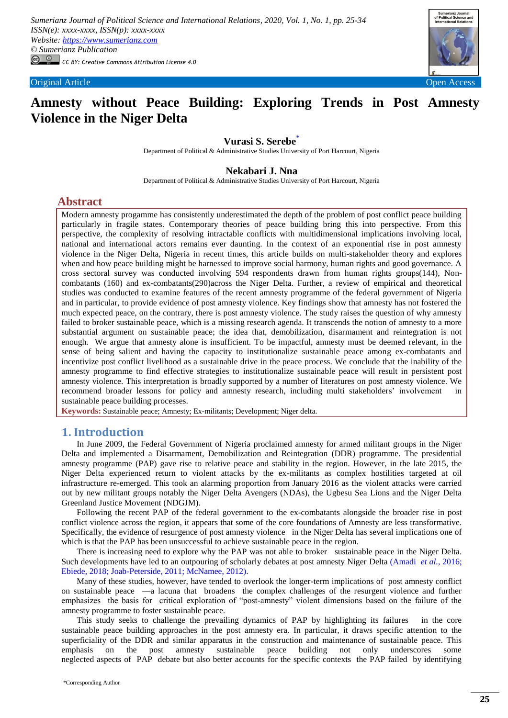

# **Amnesty without Peace Building: Exploring Trends in Post Amnesty Violence in the Niger Delta**

### **Vurasi S. Serebe**[\\*](#page-0-0)

Department of Political & Administrative Studies University of Port Harcourt, Nigeria

## **Nekabari J. Nna**

Department of Political & Administrative Studies University of Port Harcourt, Nigeria

## **Abstract**

Modern amnesty progamme has consistently underestimated the depth of the problem of post conflict peace building particularly in fragile states. Contemporary theories of peace building bring this into perspective. From this perspective, the complexity of resolving intractable conflicts with multidimensional implications involving local, national and international actors remains ever daunting. In the context of an exponential rise in post amnesty violence in the Niger Delta, Nigeria in recent times, this article builds on multi-stakeholder theory and explores when and how peace building might be harnessed to improve social harmony, human rights and good governance. A cross sectoral survey was conducted involving 594 respondents drawn from human rights groups(144), Noncombatants (160) and ex-combatants(290)across the Niger Delta. Further, a review of empirical and theoretical studies was conducted to examine features of the recent amnesty programme of the federal government of Nigeria and in particular, to provide evidence of post amnesty violence. Key findings show that amnesty has not fostered the much expected peace, on the contrary, there is post amnesty violence. The study raises the question of why amnesty failed to broker sustainable peace, which is a missing research agenda. It transcends the notion of amnesty to a more substantial argument on sustainable peace; the idea that, demobilization, disarmament and reintegration is not enough. We argue that amnesty alone is insufficient. To be impactful, amnesty must be deemed relevant, in the sense of being salient and having the capacity to institutionalize sustainable peace among ex-combatants and incentivize post conflict livelihood as a sustainable drive in the peace process. We conclude that the inability of the amnesty programme to find effective strategies to institutionalize sustainable peace will result in persistent post amnesty violence. This interpretation is broadly supported by a number of literatures on post amnesty violence. We recommend broader lessons for policy and amnesty research, including multi stakeholders' involvement in sustainable peace building processes.

**Keywords:** Sustainable peace; Amnesty; Ex-militants; Development; Niger delta.

## **1. Introduction**

In June 2009, the Federal Government of Nigeria proclaimed amnesty for armed militant groups in the Niger Delta and implemented a Disarmament, Demobilization and Reintegration (DDR) programme. The presidential amnesty programme (PAP) gave rise to relative peace and stability in the region. However, in the late 2015, the Niger Delta experienced return to violent attacks by the ex-militants as complex hostilities targeted at oil infrastructure re-emerged. This took an alarming proportion from January 2016 as the violent attacks were carried out by new militant groups notably the Niger Delta Avengers (NDAs), the Ugbesu Sea Lions and the Niger Delta Greenland Justice Movement (NDGJM).

Following the recent PAP of the federal government to the ex-combatants alongside the broader rise in post conflict violence across the region, it appears that some of the core foundations of Amnesty are less transformative. Specifically, the evidence of resurgence of post amnesty violence in the Niger Delta has several implications one of which is that the PAP has been unsuccessful to achieve sustainable peace in the region.

There is increasing need to explore why the PAP was not able to broker sustainable peace in the Niger Delta. Such developments have led to an outpouring of scholarly debates at post amnesty Niger Delta [\(Amadi](#page-8-0) *et al.*, 2016; [Ebiede, 2018;](#page-8-1) [Joab-Peterside, 2011;](#page-9-0) [McNamee, 2012\)](#page-9-1).

Many of these studies, however, have tended to overlook the longer-term implications of post amnesty conflict on sustainable peace —a lacuna that broadens the complex challenges of the resurgent violence and further emphasizes the basis for critical exploration of "post-amnesty" violent dimensions based on the failure of the amnesty programme to foster sustainable peace.

<span id="page-0-0"></span>This study seeks to challenge the prevailing dynamics of PAP by highlighting its failures in the core sustainable peace building approaches in the post amnesty era. In particular, it draws specific attention to the superficiality of the DDR and similar apparatus in the construction and maintenance of sustainable peace. This emphasis on the post amnesty sustainable peace building not only underscores some neglected aspects of PAP debate but also better accounts for the specific contexts the PAP failed by identifying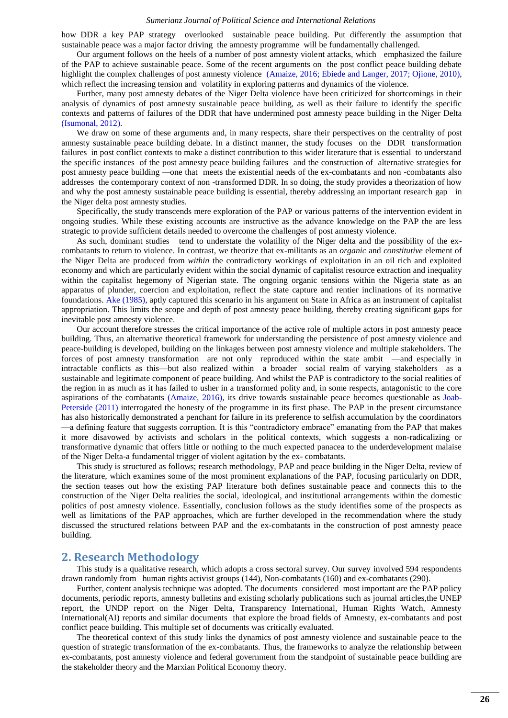how DDR a key PAP strategy overlooked sustainable peace building. Put differently the assumption that sustainable peace was a major factor driving the amnesty programme will be fundamentally challenged.

Our argument follows on the heels of a number of post amnesty violent attacks, which emphasized the failure of the PAP to achieve sustainable peace. Some of the recent arguments on the post conflict peace building debate highlight the complex challenges of post amnesty violence [\(Amaize, 2016;](#page-8-2) [Ebiede and Langer, 2017;](#page-8-3) [Ojione, 2010\)](#page-9-2), which reflect the increasing tension and volatility in exploring patterns and dynamics of the violence.

Further, many post amnesty debates of the Niger Delta violence have been criticized for shortcomings in their analysis of dynamics of post amnesty sustainable peace building, as well as their failure to identify the specific contexts and patterns of failures of the DDR that have undermined post amnesty peace building in the Niger Delta [\(Isumonal, 2012\)](#page-9-3).

We draw on some of these arguments and, in many respects, share their perspectives on the centrality of post amnesty sustainable peace building debate. In a distinct manner, the study focuses on the DDR transformation failures in post conflict contexts to make a distinct contribution to this wider literature that is essential to understand the specific instances of the post amnesty peace building failures and the construction of alternative strategies for post amnesty peace building *—*one that meets the existential needs of the ex-combatants and non -combatants also addresses the contemporary context of non -transformed DDR. In so doing, the study provides a theorization of how and why the post amnesty sustainable peace building is essential, thereby addressing an important research gap in the Niger delta post amnesty studies.

Specifically, the study transcends mere exploration of the PAP or various patterns of the intervention evident in ongoing studies. While these existing accounts are instructive as the advance knowledge on the PAP the are less strategic to provide sufficient details needed to overcome the challenges of post amnesty violence.

As such, dominant studies tend to understate the volatility of the Niger delta and the possibility of the excombatants to return to violence. In contrast, we theorize that ex-militants as an *organic* and *constitutive* element of the Niger Delta are produced from *within* the contradictory workings of exploitation in an oil rich and exploited economy and which are particularly evident within the social dynamic of capitalist resource extraction and inequality within the capitalist hegemony of Nigerian state. The ongoing organic tensions within the Nigeria state as an apparatus of plunder, coercion and exploitation, reflect the state capture and rentier inclinations of its normative foundations. [Ake \(1985\),](#page-8-4) aptly captured this scenario in his argument on State in Africa as an instrument of capitalist appropriation. This limits the scope and depth of post amnesty peace building, thereby creating significant gaps for inevitable post amnesty violence.

Our account therefore stresses the critical importance of the active role of multiple actors in post amnesty peace building. Thus, an alternative theoretical framework for understanding the persistence of post amnesty violence and peace-building is developed, building on the linkages between post amnesty violence and multiple stakeholders. The forces of post amnesty transformation are not only reproduced within the state ambit —and especially in intractable conflicts as this—but also realized within a broader social realm of varying stakeholders as a sustainable and legitimate component of peace building. And whilst the PAP is contradictory to the social realities of the region in as much as it has failed to usher in a transformed polity and, in some respects, antagonistic to the core aspirations of the combatants [\(Amaize, 2016\)](#page-8-2), its drive towards sustainable peace becomes questionable as [Joab-](#page-9-0)Peterside (2011) interrogated the honesty of the programme in its first phase. The PAP in the present circumstance has also historically demonstrated a penchant for failure in its preference to selfish accumulation by the coordinators —a defining feature that suggests corruption. It is this "contradictory embrace" emanating from the PAP that makes it more disavowed by activists and scholars in the political contexts, which suggests a non-radicalizing or transformative dynamic that offers little or nothing to the much expected panacea to the underdevelopment malaise of the Niger Delta-a fundamental trigger of violent agitation by the ex- combatants.

This study is structured as follows; research methodology, PAP and peace building in the Niger Delta, review of the literature, which examines some of the most prominent explanations of the PAP, focusing particularly on DDR, the section teases out how the existing PAP literature both defines sustainable peace and connects this to the construction of the Niger Delta realities the social, ideological, and institutional arrangements within the domestic politics of post amnesty violence. Essentially, conclusion follows as the study identifies some of the prospects as well as limitations of the PAP approaches, which are further developed in the recommendation where the study discussed the structured relations between PAP and the ex-combatants in the construction of post amnesty peace building.

### **2. Research Methodology**

This study is a qualitative research, which adopts a cross sectoral survey. Our survey involved 594 respondents drawn randomly from human rights activist groups (144), Non-combatants (160) and ex-combatants (290).

Further, content analysis technique was adopted. The documents considered most important are the PAP policy documents, periodic reports, amnesty bulletins and existing scholarly publications such as journal articles,the UNEP report, the UNDP report on the Niger Delta, Transparency International, Human Rights Watch, Amnesty International(AI) reports and similar documents that explore the broad fields of Amnesty, ex-combatants and post conflict peace building. This multiple set of documents was critically evaluated.

The theoretical context of this study links the dynamics of post amnesty violence and sustainable peace to the question of strategic transformation of the ex-combatants. Thus, the frameworks to analyze the relationship between ex-combatants, post amnesty violence and federal government from the standpoint of sustainable peace building are the stakeholder theory and the Marxian Political Economy theory.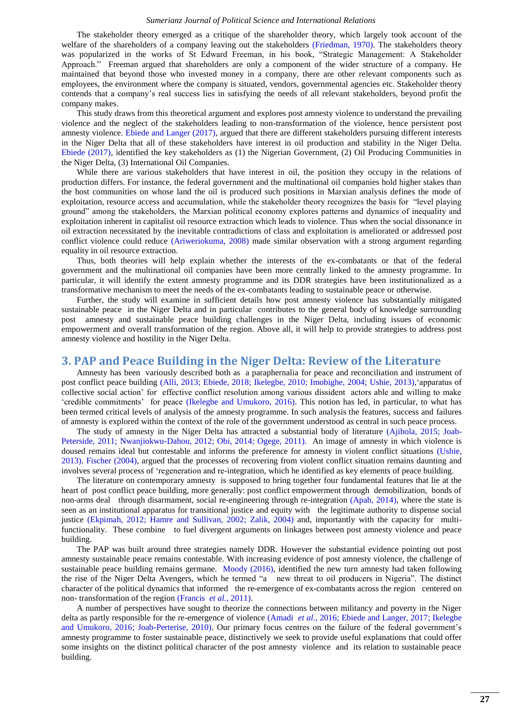The stakeholder theory emerged as a critique of the shareholder theory, which largely took account of the welfare of the shareholders of a company leaving out the stakeholders [\(Friedman, 1970\)](#page-8-5). The stakeholders theory was popularized in the works of St Edward Freeman, in his book, "Strategic Management: A Stakeholder Approach." Freeman argued that shareholders are only a component of the wider structure of a company. He maintained that beyond those who invested money in a company, there are other relevant components such as employees, the environment where the company is situated, vendors, governmental agencies etc. Stakeholder theory contends that a company's real success lies in satisfying the needs of all relevant stakeholders, beyond profit the company makes.

This study draws from this theoretical argument and explores post amnesty violence to understand the prevailing violence and the neglect of the stakeholders leading to non-transformation of the violence, hence persistent post amnesty violence. [Ebiede and Langer \(2017\),](#page-8-3) argued that there are different stakeholders pursuing different interests in the Niger Delta that all of these stakeholders have interest in oil production and stability in the Niger Delta. [Ebiede \(2017\),](#page-8-6) identified the key stakeholders as (1) the Nigerian Government, (2) Oil Producing Communities in the Niger Delta, (3) International Oil Companies.

While there are various stakeholders that have interest in oil, the position they occupy in the relations of production differs. For instance, the federal government and the multinational oil companies hold higher stakes than the host communities on whose land the oil is produced such positions in Marxian analysis defines the mode of exploitation, resource access and accumulation, while the stakeholder theory recognizes the basis for "level playing ground" among the stakeholders, the Marxian political economy explores patterns and dynamics of inequality and exploitation inherent in capitalist oil resource extraction which leads to violence. Thus when the social dissonance in oil extraction necessitated by the inevitable contradictions of class and exploitation is ameliorated or addressed post conflict violence could reduce [\(Ariweriokuma, 2008\)](#page-8-7) made similar observation with a strong argument regarding equality in oil resource extraction.

Thus, both theories will help explain whether the interests of the ex-combatants or that of the federal government and the multinational oil companies have been more centrally linked to the amnesty programme. In particular, it will identify the extent amnesty programme and its DDR strategies have been institutionalized as a transformative mechanism to meet the needs of the ex-combatants leading to sustainable peace or otherwise.

Further, the study will examine in sufficient details how post amnesty violence has substantially mitigated sustainable peace in the Niger Delta and in particular contributes to the general body of knowledge surrounding post amnesty and sustainable peace building challenges in the Niger Delta, including issues of economic empowerment and overall transformation of the region. Above all, it will help to provide strategies to address post amnesty violence and hostility in the Niger Delta.

### **3. PAP and Peace Building in the Niger Delta: Review of the Literature**

Amnesty has been variously described both as a paraphernalia for peace and reconciliation and instrument of post conflict peace building [\(Alli, 2013;](#page-8-8) [Ebiede, 2018;](#page-8-1) [Ikelegbe, 2010;](#page-9-4) [Imobighe, 2004;](#page-9-5) [Ushie, 2013\)](#page-9-6), 'apparatus of collective social action' for effective conflict resolution among various dissident actors able and willing to make ‗credible commitments' for peace [\(Ikelegbe and Umukoro, 2016\)](#page-9-7). This notion has led, in particular, to what has been termed critical levels of analysis of the amnesty programme. In such analysis the features, success and failures of amnesty is explored within the context of the role of the government understood as central in such peace process.

The study of amnesty in the Niger Delta has attracted a substantial body of literature [\(Ajibola, 2015;](#page-8-9) [Joab-](#page-9-0)[Peterside, 2011;](#page-9-0) [Nwanjiokwu-Dahou, 2012;](#page-9-8) [Obi, 2014;](#page-9-9) [Ogege, 2011\)](#page-9-10). An image of amnesty in which violence is doused remains ideal but contestable and informs the preference for amnesty in violent conflict situations [\(Ushie,](#page-9-6)  [2013\)](#page-9-6). [Fischer \(2004\),](#page-8-10) argued that the processes of recovering from violent conflict situation remains daunting and involves several process of 'regeneration and re-integration, which he identified as key elements of peace building.

The literature on contemporary amnesty is supposed to bring together four fundamental features that lie at the heart of post conflict peace building, more generally: post conflict empowerment through demobilization, bonds of non-arms deal through disarmament, social re-engineering through re-integration [\(Apah, 2014\)](#page-8-11), where the state is seen as an institutional apparatus for transitional justice and equity with the legitimate authority to dispense social justice [\(Ekpimah, 2012;](#page-8-12) [Hamre and Sullivan, 2002;](#page-8-13) [Zalik, 2004\)](#page-9-11) and, importantly with the capacity for multifunctionality. These combine to fuel divergent arguments on linkages between post amnesty violence and peace building.

The PAP was built around three strategies namely DDR. However the substantial evidence pointing out post amnesty sustainable peace remains contestable. With increasing evidence of post amnesty violence, the challenge of sustainable peace building remains germane. [Moody \(2016\),](#page-9-12) identified the new turn amnesty had taken following the rise of the Niger Delta Avengers, which he termed "a new threat to oil producers in Nigeria". The distinct character of the political dynamics that informed the re-emergence of ex-combatants across the region centered on non- transformation of the region [\(Francis](#page-8-14) *et al.*, 2011).

A number of perspectives have sought to theorize the connections between militancy and poverty in the Niger delta as partly responsible for the re-emergence of violence [\(Amadi](#page-8-0) *et al.*, 2016; [Ebiede and Langer, 2017;](#page-8-3) [Ikelegbe](#page-9-7)  [and Umukoro, 2016;](#page-9-7) [Joab-Perterise, 2010\)](#page-9-13). Our primary focus centres on the failure of the federal government's amnesty programme to foster sustainable peace, distinctively we seek to provide useful explanations that could offer some insights on the distinct political character of the post amnesty violence and its relation to sustainable peace building.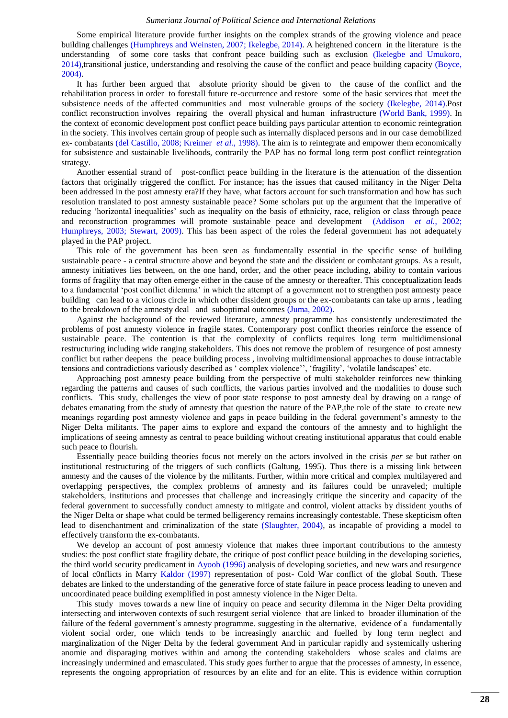Some empirical literature provide further insights on the complex strands of the growing violence and peace building challenges [\(Humphreys and Weinsten, 2007;](#page-8-15) [Ikelegbe, 2014\)](#page-9-14). A heightened concern in the literature is the understanding of some core tasks that confront peace building such as exclusion [\(Ikelegbe and Umukoro,](#page-9-15)  [2014\)](#page-9-15),transitional justice, understanding and resolving the cause of the conflict and peace building capacity [\(Boyce,](#page-8-16)  [2004\)](#page-8-16).

It has further been argued that absolute priority should be given to the cause of the conflict and the rehabilitation process in order to forestall future re-occurrence and restore some of the basic services that meet the subsistence needs of the affected communities and most vulnerable groups of the society [\(Ikelegbe, 2014\)](#page-9-14).Post conflict reconstruction involves repairing the overall physical and human infrastructure [\(World Bank, 1999\)](#page-9-16). In the context of economic development post conflict peace building pays particular attention to economic reintegration in the society. This involves certain group of people such as internally displaced persons and in our case demobilized ex- combatants [\(del Castillo, 2008;](#page-8-17) [Kreimer](#page-9-17) *et al.*, 1998). The aim is to reintegrate and empower them economically for subsistence and sustainable livelihoods, contrarily the PAP has no formal long term post conflict reintegration strategy.

Another essential strand of post-conflict peace building in the literature is the attenuation of the dissention factors that originally triggered the conflict. For instance; has the issues that caused militancy in the Niger Delta been addressed in the post amnesty era?If they have, what factors account for such transformation and how has such resolution translated to post amnesty sustainable peace? Some scholars put up the argument that the imperative of reducing 'horizontal inequalities' such as inequality on the basis of ethnicity, race, religion or class through peace and reconstruction programmes will promote sustainable peace and development [\(Addison](#page-8-18) *et al.*, 2002; [Humphreys, 2003;](#page-8-19) [Stewart, 2009\)](#page-9-18). This has been aspect of the roles the federal government has not adequately played in the PAP project.

This role of the government has been seen as fundamentally essential in the specific sense of building sustainable peace - a central structure above and beyond the state and the dissident or combatant groups. As a result, amnesty initiatives lies between, on the one hand, order, and the other peace including, ability to contain various forms of fragility that may often emerge either in the cause of the amnesty or thereafter. This conceptualization leads to a fundamental 'post conflict dilemma' in which the attempt of a government not to strengthen post amnesty peace building can lead to a vicious circle in which other dissident groups or the ex-combatants can take up arms , leading to the breakdown of the amnesty deal and suboptimal outcomes [\(Juma, 2002\)](#page-9-19).

Against the background of the reviewed literature, amnesty programme has consistently underestimated the problems of post amnesty violence in fragile states. Contemporary post conflict theories reinforce the essence of sustainable peace. The contention is that the complexity of conflicts requires long term multidimensional restructuring including wide ranging stakeholders. This does not remove the problem of resurgence of post amnesty conflict but rather deepens the peace building process , involving multidimensional approaches to douse intractable tensions and contradictions variously described as 'complex violence'', 'fragility', 'volatile landscapes' etc.

Approaching post amnesty peace building from the perspective of multi stakeholder reinforces new thinking regarding the patterns and causes of such conflicts, the various parties involved and the modalities to douse such conflicts. This study, challenges the view of poor state response to post amnesty deal by drawing on a range of debates emanating from the study of amnesty that question the nature of the PAP,the role of the state to create new meanings regarding post amnesty violence and gaps in peace building in the federal government's amnesty to the Niger Delta militants. The paper aims to explore and expand the contours of the amnesty and to highlight the implications of seeing amnesty as central to peace building without creating institutional apparatus that could enable such peace to flourish.

Essentially peace building theories focus not merely on the actors involved in the crisis *per se* but rather on institutional restructuring of the triggers of such conflicts (Galtung, 1995). Thus there is a missing link between amnesty and the causes of the violence by the militants. Further, within more critical and complex multilayered and overlapping perspectives, the complex problems of amnesty and its failures could be unraveled; multiple stakeholders, institutions and processes that challenge and increasingly critique the sincerity and capacity of the federal government to successfully conduct amnesty to mitigate and control, violent attacks by dissident youths of the Niger Delta or shape what could be termed belligerency remains increasingly contestable. These skepticism often lead to disenchantment and criminalization of the state [\(Slaughter, 2004\)](#page-9-20), as incapable of providing a model to effectively transform the ex-combatants.

We develop an account of post amnesty violence that makes three important contributions to the amnesty studies: the post conflict state fragility debate, the critique of post conflict peace building in the developing societies, the third world security predicament in [Ayoob \(1996\)](#page-8-20) analysis of developing societies, and new wars and resurgence of local c0nflicts in Marry [Kaldor \(1997\)](#page-9-21) representation of post- Cold War conflict of the global South. These debates are linked to the understanding of the generative force of state failure in peace process leading to uneven and uncoordinated peace building exemplified in post amnesty violence in the Niger Delta.

This study moves towards a new line of inquiry on peace and security dilemma in the Niger Delta providing intersecting and interwoven contexts of such resurgent serial violence that are linked to broader illumination of the failure of the federal government's amnesty programme. suggesting in the alternative, evidence of a fundamentally violent social order, one which tends to be increasingly anarchic and fuelled by long term neglect and marginalization of the Niger Delta by the federal government And in particular rapidly and systemically ushering anomie and disparaging motives within and among the contending stakeholders whose scales and claims are increasingly undermined and emasculated. This study goes further to argue that the processes of amnesty, in essence, represents the ongoing appropriation of resources by an elite and for an elite. This is evidence within corruption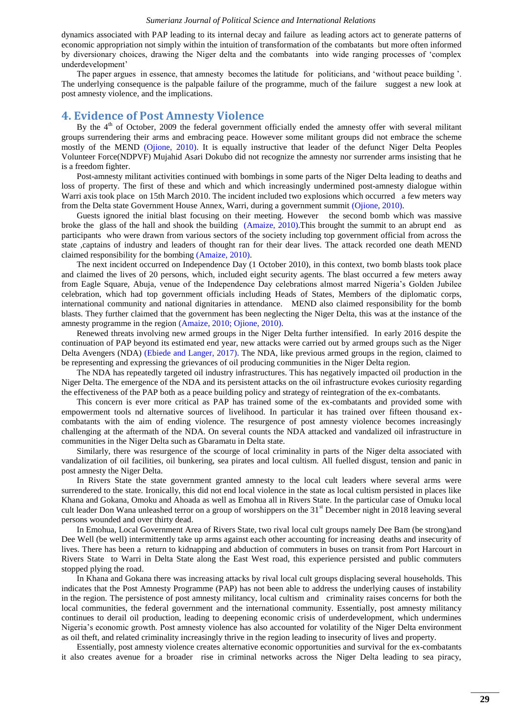dynamics associated with PAP leading to its internal decay and failure as leading actors act to generate patterns of economic appropriation not simply within the intuition of transformation of the combatants but more often informed by diversionary choices, drawing the Niger delta and the combatants into wide ranging processes of ‗complex underdevelopment'

The paper argues in essence, that amnesty becomes the latitude for politicians, and 'without peace building '. The underlying consequence is the palpable failure of the programme, much of the failure suggest a new look at post amnesty violence, and the implications.

## **4. Evidence of Post Amnesty Violence**

By the  $4<sup>th</sup>$  of October, 2009 the federal government officially ended the amnesty offer with several militant groups surrendering their arms and embracing peace. However some militant groups did not embrace the scheme mostly of the MEND [\(Ojione, 2010\)](#page-9-2). It is equally instructive that leader of the defunct Niger Delta Peoples Volunteer Force(NDPVF) Mujahid Asari Dokubo did not recognize the amnesty nor surrender arms insisting that he is a freedom fighter.

Post-amnesty militant activities continued with bombings in some parts of the Niger Delta leading to deaths and loss of property. The first of these and which and which increasingly undermined post-amnesty dialogue within Warri axis took place on 15th March 2010. The incident included two explosions which occurred a few meters way from the Delta state Government House Annex, Warri, during a government summit [\(Ojione, 2010\)](#page-9-2).

Guests ignored the initial blast focusing on their meeting. However the second bomb which was massive broke the glass of the hall and shook the building [\(Amaize, 2010\)](#page-8-21).This brought the summit to an abrupt end as participants who were drawn from various sectors of the society including top government official from across the state ,captains of industry and leaders of thought ran for their dear lives. The attack recorded one death MEND claimed responsibility for the bombing [\(Amaize, 2010\)](#page-8-21).

The next incident occurred on Independence Day (1 October 2010), in this context, two bomb blasts took place and claimed the lives of 20 persons, which, included eight security agents. The blast occurred a few meters away from Eagle Square, Abuja, venue of the Independence Day celebrations almost marred Nigeria's Golden Jubilee celebration, which had top government officials including Heads of States, Members of the diplomatic corps, international community and national dignitaries in attendance. MEND also claimed responsibility for the bomb blasts. They further claimed that the government has been neglecting the Niger Delta, this was at the instance of the amnesty programme in the region [\(Amaize, 2010;](#page-8-21) [Ojione, 2010\)](#page-9-2).

Renewed threats involving new armed groups in the Niger Delta further intensified. In early 2016 despite the continuation of PAP beyond its estimated end year, new attacks were carried out by armed groups such as the Niger Delta Avengers (NDA) [\(Ebiede and Langer, 2017\)](#page-8-3). The NDA, like previous armed groups in the region, claimed to be representing and expressing the grievances of oil producing communities in the Niger Delta region.

The NDA has repeatedly targeted oil industry infrastructures. This has negatively impacted oil production in the Niger Delta. The emergence of the NDA and its persistent attacks on the oil infrastructure evokes curiosity regarding the effectiveness of the PAP both as a peace building policy and strategy of reintegration of the ex-combatants.

This concern is ever more critical as PAP has trained some of the ex-combatants and provided some with empowerment tools nd alternative sources of livelihood. In particular it has trained over fifteen thousand excombatants with the aim of ending violence. The resurgence of post amnesty violence becomes increasingly challenging at the aftermath of the NDA. On several counts the NDA attacked and vandalized oil infrastructure in communities in the Niger Delta such as Gbaramatu in Delta state.

Similarly, there was resurgence of the scourge of local criminality in parts of the Niger delta associated with vandalization of oil facilities, oil bunkering, sea pirates and local cultism. All fuelled disgust, tension and panic in post amnesty the Niger Delta.

In Rivers State the state government granted amnesty to the local cult leaders where several arms were surrendered to the state. Ironically, this did not end local violence in the state as local cultism persisted in places like Khana and Gokana, Omoku and Ahoada as well as Emohua all in Rivers State. In the particular case of Omuku local cult leader Don Wana unleashed terror on a group of worshippers on the 31<sup>st</sup> December night in 2018 leaving several persons wounded and over thirty dead.

In Emohua, Local Government Area of Rivers State, two rival local cult groups namely Dee Bam (be strong)and Dee Well (be well) intermittently take up arms against each other accounting for increasing deaths and insecurity of lives. There has been a return to kidnapping and abduction of commuters in buses on transit from Port Harcourt in Rivers State to Warri in Delta State along the East West road, this experience persisted and public commuters stopped plying the road.

In Khana and Gokana there was increasing attacks by rival local cult groups displacing several households. This indicates that the Post Amnesty Programme (PAP) has not been able to address the underlying causes of instability in the region. The persistence of post amnesty militancy, local cultism and criminality raises concerns for both the local communities, the federal government and the international community. Essentially, post amnesty militancy continues to derail oil production, leading to deepening economic crisis of underdevelopment, which undermines Nigeria's economic growth. Post amnesty violence has also accounted for volatility of the Niger Delta environment as oil theft, and related criminality increasingly thrive in the region leading to insecurity of lives and property.

Essentially, post amnesty violence creates alternative economic opportunities and survival for the ex-combatants it also creates avenue for a broader rise in criminal networks across the Niger Delta leading to sea piracy,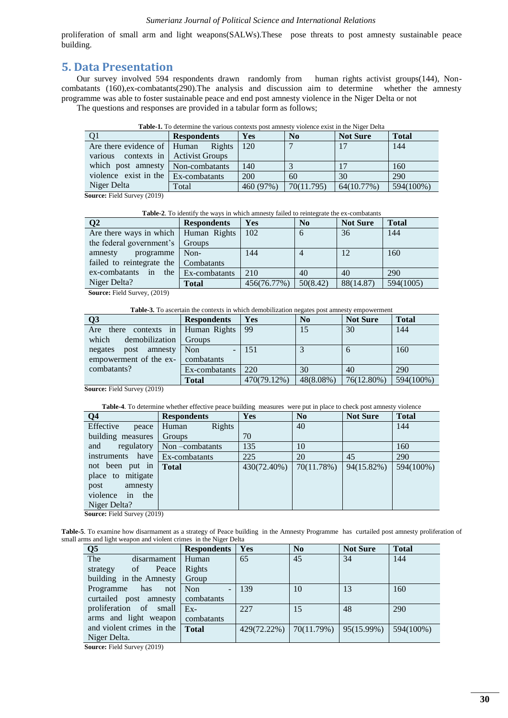proliferation of small arm and light weapons(SALWs).These pose threats to post amnesty sustainable peace building.

## **5. Data Presentation**

Our survey involved 594 respondents drawn randomly from human rights activist groups(144), Noncombatants (160),ex-combatants(290).The analysis and discussion aim to determine whether the amnesty programme was able to foster sustainable peace and end post amnesty violence in the Niger Delta or not

<span id="page-5-0"></span>The questions and responses are provided in a tabular form as follows;

| <b>Table-1.</b> To determine the various contexts post anniesty violence exist in the iviger Delta |                        |            |                |                 |              |  |
|----------------------------------------------------------------------------------------------------|------------------------|------------|----------------|-----------------|--------------|--|
|                                                                                                    | <b>Respondents</b>     | <b>Yes</b> | N <sub>0</sub> | <b>Not Sure</b> | <b>Total</b> |  |
| Are there evidence of   Human                                                                      | Rights                 | 120        |                | 17              | 144          |  |
| various contexts in                                                                                | <b>Activist Groups</b> |            |                |                 |              |  |
| which post amnesty                                                                                 | Non-combatants         | 140        |                |                 | 160          |  |
| violence exist in the Ex-combatants                                                                |                        | 200        | 60             | 30              | 290          |  |
| Niger Delta                                                                                        | Total                  | 460 (97%)  | 70(11.795)     | 64(10.77%)      | 594(100%)    |  |

**Table-1.** To determine the various contexts post amnesty violence exist in the Niger Delt

**Source:** Field Survey (2019)

**Table-2**. To identify the ways in which amnesty failed to reintegrate the ex-combatants

<span id="page-5-1"></span>

| Q2                                     | <b>Respondents</b> | Yes         | No       | <b>Not Sure</b> | <b>Total</b> |
|----------------------------------------|--------------------|-------------|----------|-----------------|--------------|
| Are there ways in which   Human Rights |                    | 102         | 6        | 36              | 144          |
| the federal government's               | Groups             |             |          |                 |              |
| programme<br>amnesty                   | Non-               | 144         |          | 12              | 160          |
| failed to reintegrate the   Combatants |                    |             |          |                 |              |
| ex-combatants<br>the<br>in             | Ex-combatants      | 210         | 40       | 40              | 290          |
| Niger Delta?                           | <b>Total</b>       | 456(76.77%) | 50(8.42) | 88(14.87)       | 594(1005)    |

**Source:** Field Survey, (2019)

**Table-3.** To ascertain the contexts in which demobilization negates post amnesty empowerment

<span id="page-5-2"></span>

| Q <sub>3</sub>              | <b>Respondents</b>                     | Yes         | No        | <b>Not Sure</b> | <b>Total</b> |
|-----------------------------|----------------------------------------|-------------|-----------|-----------------|--------------|
| Are<br>there<br>contexts in | Human Rights                           | 99          | 15        | 30              | 144          |
| demobilization<br>which     | Groups                                 |             |           |                 |              |
| amnesty<br>negates<br>post  | <b>Non</b><br>$\overline{\phantom{a}}$ | 151         |           | n               | 160          |
| empowerment of the ex-      | combatants                             |             |           |                 |              |
| combatants?                 | Ex-combatants                          | 220         | 30        | 40              | 290          |
|                             | <b>Total</b>                           | 470(79.12%) | 48(8.08%) | 76(12.80%)      | 594(100%)    |

**Source:** Field Survey (2019)

**Table-4**. To determine whether effective peace building measures were put in place to check post amnesty violence

<span id="page-5-3"></span>

| Q <sub>4</sub>     | <b>Respondents</b>        | <b>Yes</b>  | No         | <b>Not Sure</b> | <b>Total</b> |
|--------------------|---------------------------|-------------|------------|-----------------|--------------|
| Effective<br>peace | Rights<br>Human           |             | 40         |                 | 144          |
| building measures  | Groups                    | 70          |            |                 |              |
| and                | regulatory Non-combatants | 135         | 10         |                 | 160          |
| instruments have   | Ex-combatants             | 225         | 20         | 45              | 290          |
| not been put in    | <b>Total</b>              | 430(72.40%) | 70(11.78%) | 94(15.82%)      | 594(100%)    |
| place to mitigate  |                           |             |            |                 |              |
| post<br>amnesty    |                           |             |            |                 |              |
| violence in<br>the |                           |             |            |                 |              |
| Niger Delta?       |                           |             |            |                 |              |

**Source:** Field Survey (2019)

<span id="page-5-4"></span>**Table-5**. To examine how disarmament as a strategy of Peace building in the Amnesty Programme has curtailed post amnesty proliferation of small arms and light weapon and violent crimes in the Niger Delta

| $\overline{\mathbf{Q}}$            | <b>Respondents</b> | Yes         | No         | <b>Not Sure</b> | <b>Total</b> |
|------------------------------------|--------------------|-------------|------------|-----------------|--------------|
| The<br>disarmament                 | Human              | 65          | 45         | 34              | 144          |
| Peace<br><sub>of</sub><br>strategy | Rights             |             |            |                 |              |
| building in the Amnesty            | Group              |             |            |                 |              |
| has<br>Programme<br>not            | Non                | 139         | 10         | 13              | 160          |
| curtailed post amnesty             | combatants         |             |            |                 |              |
| proliferation of small             | $E_{\rm X}$        | 227         | 15         | 48              | 290          |
| arms and light weapon              | combatants         |             |            |                 |              |
| and violent crimes in the          | <b>Total</b>       | 429(72.22%) | 70(11.79%) | 95(15.99%)      | 594(100%)    |
| Niger Delta.<br>.                  |                    |             |            |                 |              |

**Source:** Field Survey (2019)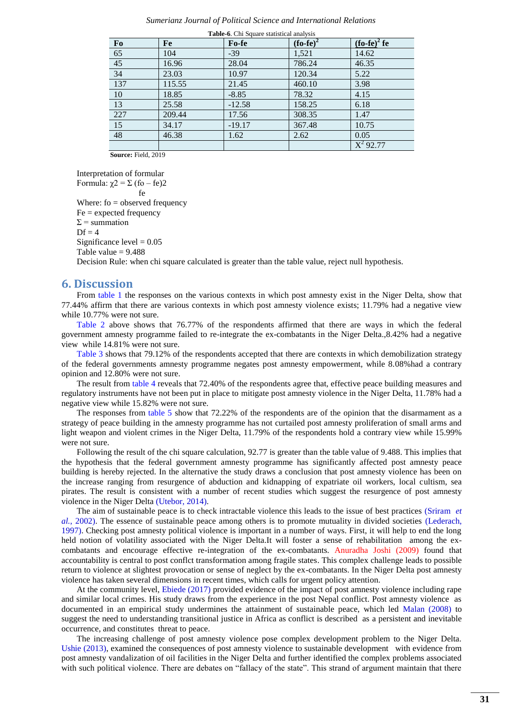| Fo              | Fe     | Fo-fe    | $(fo-fe)^2$ | $(f_0 - fe)^2 fe$ |
|-----------------|--------|----------|-------------|-------------------|
| $\frac{65}{45}$ | 104    | $-39$    | 1,521       | 14.62             |
|                 | 16.96  | 28.04    | 786.24      | 46.35             |
| $34\,$          | 23.03  | 10.97    | 120.34      | 5.22              |
| 137             | 115.55 | 21.45    | 460.10      | 3.98              |
| $10\,$          | 18.85  | $-8.85$  | 78.32       | 4.15              |
| $\overline{13}$ | 25.58  | $-12.58$ | 158.25      | 6.18              |
| 227             | 209.44 | 17.56    | 308.35      | 1.47              |
| $\overline{15}$ | 34.17  | $-19.17$ | 367.48      | 10.75             |
| 48              | 46.38  | 1.62     | 2.62        | 0.05              |
|                 |        |          |             | $X^2$ 92.77       |

**Table-6**. Chi Square statistical analysis

 **Source:** Field, 2019

Interpretation of formular

Formula:  $\chi$ 2 = Σ (fo – fe)2 **fermion** Where:  $fo = observed frequency$  $Fe = expected frequency$  $\Sigma$  = summation  $Df = 4$ Significance level  $= 0.05$ Table value  $= 9.488$ 

Decision Rule: when chi square calculated is greater than the table value, reject null hypothesis.

## **6. Discussion**

From [table 1](#page-5-0) the responses on the various contexts in which post amnesty exist in the Niger Delta, show that 77.44% affirm that there are various contexts in which post amnesty violence exists; 11.79% had a negative view while 10.77% were not sure.

[Table 2](#page-5-1) above shows that 76.77% of the respondents affirmed that there are ways in which the federal government amnesty programme failed to re-integrate the ex-combatants in the Niger Delta.,8.42% had a negative view while 14.81% were not sure.

[Table 3](#page-5-2) shows that 79.12% of the respondents accepted that there are contexts in which demobilization strategy of the federal governments amnesty programme negates post amnesty empowerment, while 8.08%had a contrary opinion and 12.80% were not sure.

The result from [table 4](#page-5-3) reveals that 72.40% of the respondents agree that, effective peace building measures and regulatory instruments have not been put in place to mitigate post amnesty violence in the Niger Delta, 11.78% had a negative view while 15.82% were not sure.

The responses from [table 5](#page-5-4) show that 72.22% of the respondents are of the opinion that the disarmament as a strategy of peace building in the amnesty programme has not curtailed post amnesty proliferation of small arms and light weapon and violent crimes in the Niger Delta, 11.79% of the respondents hold a contrary view while 15.99% were not sure.

Following the result of the chi square calculation, 92.77 is greater than the table value of 9.488. This implies that the hypothesis that the federal government amnesty programme has significantly affected post amnesty peace building is hereby rejected. In the alternative the study draws a conclusion that post amnesty violence has been on the increase ranging from resurgence of abduction and kidnapping of expatriate oil workers, local cultism, sea pirates. The result is consistent with a number of recent studies which suggest the resurgence of post amnesty violence in the Niger Delta [\(Utebor, 2014\)](#page-9-22).

The aim of sustainable peace is to check intractable violence this leads to the issue of best practices [\(Sriram](#page-9-23) *et al.*[, 2002\)](#page-9-23). The essence of sustainable peace among others is to promote mutuality in divided societies [\(Lederach,](#page-9-24)  [1997\)](#page-9-24). Checking post amnesty political violence is important in a number of ways. First, it will help to end the long held notion of volatility associated with the Niger Delta.It will foster a sense of rehabilitation among the excombatants and encourage effective re-integration of the ex-combatants. Anuradha Joshi (2009) found that accountability is central to post conflct transformation among fragile states. This complex challenge leads to possible return to violence at slightest provocation or sense of neglect by the ex-combatants. In the Niger Delta post amnesty violence has taken several dimensions in recent times, which calls for urgent policy attention.

At the community level, [Ebiede \(2017\)](#page-8-6) provided evidence of the impact of post amnesty violence including rape and similar local crimes. His study draws from the experience in the post Nepal conflict. Post amnesty violence as documented in an empirical study undermines the attainment of sustainable peace, which led [Malan \(2008\)](#page-9-25) to suggest the need to understanding transitional justice in Africa as conflict is described as a persistent and inevitable occurrence, and constitutes threat to peace.

The increasing challenge of post amnesty violence pose complex development problem to the Niger Delta. [Ushie \(2013\),](#page-9-6) examined the consequences of post amnesty violence to sustainable development with evidence from post amnesty vandalization of oil facilities in the Niger Delta and further identified the complex problems associated with such political violence. There are debates on "fallacy of the state". This strand of argument maintain that there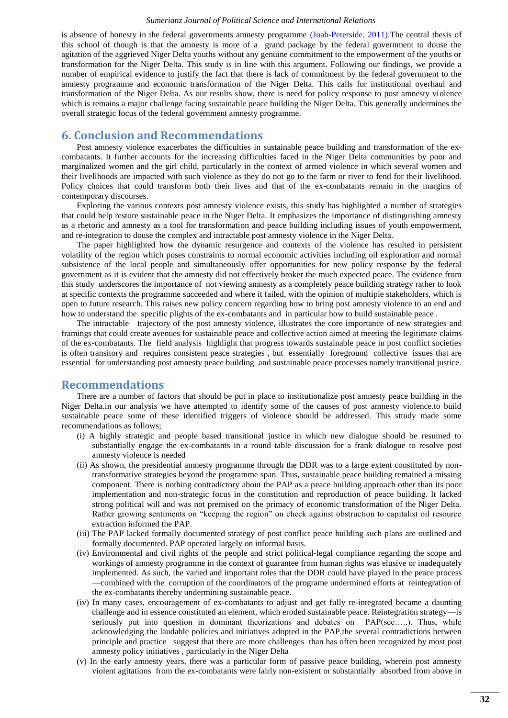is absence of honesty in the federal governments amnesty programme [\(Joab-Peterside, 2011\)](#page-9-0).The central thesis of this school of though is that the amnesty is more of a grand package by the federal government to douse the agitation of the aggrieved Niger Delta youths without any genuine commitment to the empowerment of the youths or transformation for the Niger Delta. This study is in line with this argument. Following our findings, we provide a number of empirical evidence to justify the fact that there is lack of commitment by the federal government to the amnesty programme and economic transformation of the Niger Delta. This calls for institutional overhaul and transformation of the Niger Delta. As our results show, there is need for policy response to post amnesty violence which is remains a major challenge facing sustainable peace building the Niger Delta. This generally undermines the overall strategic focus of the federal government amnesty programme.

## **6. Conclusion and Recommendations**

Post amnesty violence exacerbates the difficulties in sustainable peace building and transformation of the excombatants. It further accounts for the increasing difficulties faced in the Niger Delta communities by poor and marginalized women and the girl child, particularly in the context of armed violence in which several women and their livelihoods are impacted with such violence as they do not go to the farm or river to fend for their livelihood. Policy choices that could transform both their lives and that of the ex-combatants remain in the margins of contemporary discourses.

Exploring the various contexts post amnesty violence exists, this study has highlighted a number of strategies that could help restore sustainable peace in the Niger Delta. It emphasizes the importance of distinguishing amnesty as a rhetoric and amnesty as a tool for transformation and peace building including issues of youth empowerment, and re-integration to douse the complex and intractable post amnesty violence in the Niger Delta.

The paper highlighted how the dynamic resurgence and contexts of the violence has resulted in persistent volatility of the region which poses constraints to normal economic activities including oil exploration and normal subsistence of the local people and simultaneously offer opportunities for new policy response by the federal government as it is evident that the amnesty did not effectively broker the much expected peace. The evidence from this study underscores the importance of not viewing amnesty as a completely peace building strategy rather to look at specific contexts the programme succeeded and where it failed, with the opinion of multiple stakeholders, which is open to future research. This raises new policy concern regarding how to bring post amnesty violence to an end and how to understand the specific plights of the ex-combatants and in particular how to build sustainable peace .

The intractable trajectory of the post amnesty violence, illustrates the core importance of new strategies and framings that could create avenues for sustainable peace and collective action aimed at meeting the legitimate claims of the ex-combatants. The field analysis highlight that progress towards sustainable peace in post conflict societies is often transitory and requires consistent peace strategies , but essentially foreground collective issues that are essential for understanding post amnesty peace building and sustainable peace processes namely transitional justice.

## **Recommendations**

There are a number of factors that should be put in place to institutionalize post amnesty peace building in the Niger Delta.in our analysis we have attempted to identify some of the causes of post amnesty violence.to build sustainable peace some of these identified triggers of violence should be addressed. This sttudy made some recommendations as follows;

- (i) A highly strategic and people based transitional justice in which new dialogue should be resumed to substantially engage the ex-combatants in a round table discussion for a frank dialogue to resolve post amnesty violence is needed
- (ii) As shown, the presidential amnesty programme through the DDR was to a large extent constituted by nontransformative strategies beyond the programme span. Thus, sustainable peace building remained a missing component. There is nothing contradictory about the PAP as a peace building approach other than its poor implementation and non-strategic focus in the constitution and reproduction of peace building. It lacked strong political will and was not premised on the primacy of economic transformation of the Niger Delta. Rather growing sentiments on "keeping the region" on check against obstruction to capitalist oil resource extraction informed the PAP.
- (iii) The PAP lacked formally documented strategy of post conflict peace building such plans are outlined and formally documented. PAP operated largely on informal basis.
- (iv) Environmental and civil rights of the people and strict political-legal compliance regarding the scope and workings of amnesty programme in the context of guarantee from human rights was elusive or inadequately implemented. As such, the varied and important roles that the DDR could have played in the peace process —combined with the corruption of the coordinators of the programe undermined efforts at reintegration of the ex-combatants thereby undermining sustainable peace.
- (iv) In many cases, encouragement of ex-combatants to adjust and get fully re-integrated became a daunting challenge and in essence constituted an element, which eroded sustainable peace. Reintegration strategy—is seriously put into question in dominant theorizations and debates on PAP(see....). Thus, while acknowledging the laudable policies and initiatives adopted in the PAP,the several contradictions between principle and practice suggest that there are more challenges than has often been recognized by most post amnesty policy initiatives , particularly in the Niger Delta
- (v) In the early amnesty years, there was a particular form of passive peace building, wherein post amnesty violent agitations from the ex-combatants were fairly non-existent or substantially absorbed from above in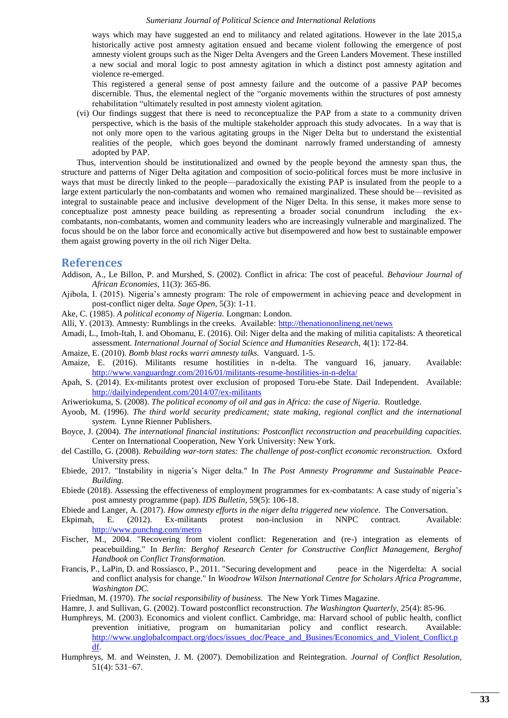ways which may have suggested an end to militancy and related agitations. However in the late 2015,a historically active post amnesty agitation ensued and became violent following the emergence of post amnesty violent groups such as the Niger Delta Avengers and the Green Landers Movement. These instilled a new social and moral logic to post amnesty agitation in which a distinct post amnesty agitation and violence re-emerged.

This registered a general sense of post amnesty failure and the outcome of a passive PAP becomes discernible. Thus, the elemental neglect of the "organic movements within the structures of post amnesty rehabilitation "ultimately resulted in post amnesty violent agitation.

(vi) Our findings suggest that there is need to reconceptualize the PAP from a state to a community driven perspective, which is the basis of the multiple stakeholder approach this study advocates. In a way that is not only more open to the various agitating groups in the Niger Delta but to understand the existential realities of the people, which goes beyond the dominant narrowly framed understanding of amnesty adopted by PAP.

Thus, intervention should be institutionalized and owned by the people beyond the amnesty span thus, the structure and patterns of Niger Delta agitation and composition of socio-political forces must be more inclusive in ways that must be directly linked to the people—paradoxically the existing PAP is insulated from the people to a large extent particularly the non-combatants and women who remained marginalized. These should be—revisited as integral to sustainable peace and inclusive development of the Niger Delta. In this sense, it makes more sense to conceptualize post amnesty peace building as representing a broader social conundrum including the excombatants, non-combatants, women and community leaders who are increasingly vulnerable and marginalized. The focus should be on the labor force and economically active but disempowered and how best to sustainable empower them agaist growing poverty in the oil rich Niger Delta.

## **References**

- <span id="page-8-18"></span>Addison, A., Le Billon, P. and Murshed, S. (2002). Conflict in africa: The cost of peaceful. *Behaviour Journal of African Economies,* 11(3): 365-86.
- <span id="page-8-9"></span>Ajibola, I. (2015). Nigeria's amnesty program: The role of empowerment in achieving peace and development in post-conflict niger delta. *Sage Open,* 5(3): 1-11.
- <span id="page-8-4"></span>Ake, C. (1985). *A political economy of Nigeria.* Longman: London.
- <span id="page-8-8"></span>Alli, Y. (2013). Amnesty: Rumblings in the creeks. Available:<http://thenationonlineng.net/news>
- <span id="page-8-0"></span>Amadi, L., Imoh-Itah, I. and Obomanu, E. (2016). Oil: Niger delta and the making of militia capitalists: A theoretical assessment. *International Journal of Social Science and Humanities Research,* 4(1): 172-84.
- <span id="page-8-21"></span>Amaize, E. (2010). *Bomb blast rocks warri amnesty talks.* Vanguard. 1-5.
- <span id="page-8-2"></span>Amaize, E. (2016). Militants resume hostilities in n-delta. The vanguard 16, january. Available: <http://www.vanguardngr.com/2016/01/militants-resume-hostilities-in-n-delta/>
- <span id="page-8-11"></span>Apah, S. (2014). Ex-militants protest over exclusion of proposed Toru-ebe State. Dail Independent. Available: <http://dailyindependent.com/2014/07/ex-militants>
- <span id="page-8-7"></span>Ariweriokuma, S. (2008). *The political economy of oil and gas in Africa: the case of Nigeria.* Routledge.
- <span id="page-8-20"></span>Ayoob, M. (1996). *The third world security predicament; state making, regional conflict and the international system.* Lynne Rienner Publishers.
- <span id="page-8-16"></span>Boyce, J. (2004). *The international financial institutions: Postconflict reconstruction and peacebuilding capacities.* Center on International Cooperation, New York University: New York.
- <span id="page-8-17"></span>del Castillo, G. (2008). *Rebuilding war-torn states: The challenge of post-conflict economic reconstruction.* Oxford University press.
- <span id="page-8-6"></span>Ebiede, 2017. "Instability in nigeria's Niger delta." In *The Post Amnesty Programme and Sustainable Peace-Building.*
- <span id="page-8-1"></span>Ebiede (2018). Assessing the effectiveness of employment programmes for ex-combatants: A case study of nigeria's post amnesty programme (pap). *IDS Bulletin,* 59(5): 106-18.
- <span id="page-8-3"></span>Ebiede and Langer, A. (2017). *How amnesty efforts in the niger delta triggered new violence.* The Conversation.
- <span id="page-8-12"></span>Ekpimah, E. (2012). Ex-militants protest non-inclusion in NNPC contract. Available: <http://www.punchng.com/metro>
- <span id="page-8-10"></span>Fischer, M., 2004. "Recovering from violent conflict: Regeneration and (re-) integration as elements of peacebuilding." In *Berlin: Berghof Research Center for Constructive Conflict Management, Berghof Handbook on Conflict Transformation.*
- <span id="page-8-14"></span>Francis, P., LaPin, D. and Rossiasco, P., 2011. "Securing development and peace in the Nigerdelta: A social and conflict analysis for change." In *Woodrow Wilson International Centre for Scholars Africa Programme, Washington DC.*
- <span id="page-8-5"></span>Friedman, M. (1970). *The social responsibility of business.* The New York Times Magazine.
- <span id="page-8-13"></span>Hamre, J. and Sullivan, G. (2002). Toward postconflict reconstruction. *The Washington Quarterly,* 25(4): 85-96.
- <span id="page-8-19"></span>Humphreys, M. (2003). Economics and violent conflict. Cambridge, ma: Harvard school of public health, conflict prevention initiative, program on humanitarian policy and conflict research. Available: [http://www.unglobalcompact.org/docs/issues\\_doc/Peace\\_and\\_Busines/Economics\\_and\\_Violent\\_Conflict.p](http://www.unglobalcompact.org/docs/issues_doc/Peace_and_Busines/Economics_and_Violent_Conflict.pdf) [df.](http://www.unglobalcompact.org/docs/issues_doc/Peace_and_Busines/Economics_and_Violent_Conflict.pdf)
- <span id="page-8-15"></span>Humphreys, M. and Weinsten, J. M. (2007). Demobilization and Reintegration. *Journal of Conflict Resolution,* 51(4): 531–67.